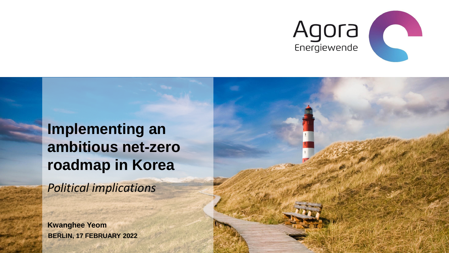

## **Implementing an ambitious net-zero roadmap in Korea**

*Political implications*

**BERLIN, 17 FEBRUARY 2022 Kwanghee Yeom**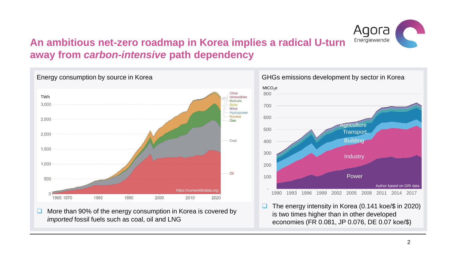

#### **An ambitious net-zero roadmap in Korea implies a radical U-turn away from** *carbon-intensive* **path dependency**



❑ More than 90% of the energy consumption in Korea is covered by *imported* fossil fuels such as coal, oil and LNG

is two times higher than in other developed economies (FR 0.081, JP 0.076, DE 0.07 koe/\$)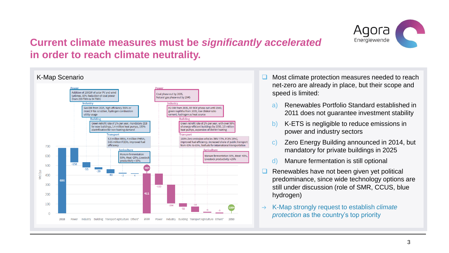

#### **Current climate measures must be** *significantly accelerated*  **in order to reach climate neutrality.**



- ❑ Most climate protection measures needed to reach net-zero are already in place, but their scope and speed is limited:
	- a) Renewables Portfolio Standard established in 2011 does not guarantee investment stability
	- b) K-ETS is negligible to reduce emissions in power and industry sectors
	- c) Zero Energy Building announced in 2014, but mandatory for private buildings in 2025
	- d) Manure fermentation is still optional
- ❑ Renewables have not been given yet political predominance, since wide technology options are still under discussion (role of SMR, CCUS, blue hydrogen)
- K-Map strongly request to establish *climate protection* as the country's top priority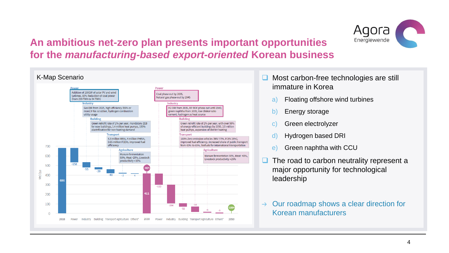

### **An ambitious net-zero plan presents important opportunities for the** *manufacturing-based export-oriented* **Korean business**



- ❑ Most carbon-free technologies are still immature in Korea
	- a) Floating offshore wind turbines
	- b) Energy storage
	- c) Green electrolyzer
	- d) Hydrogen based DRI
	- e) Green naphtha with CCU
- The road to carbon neutrality represent a major opportunity for technological leadership
- Our roadmap shows a clear direction for  $\rightarrow$ Korean manufacturers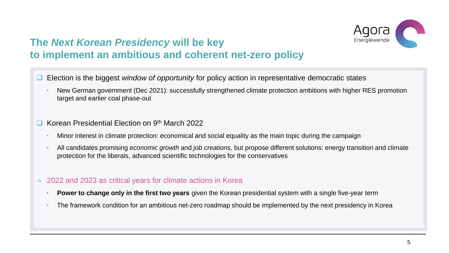

### **The** *Next Korean Presidency* **will be key to implement an ambitious and coherent net-zero policy**

- ❑ Election is the biggest *window of opportunity* for policy action in representative democratic states
	- New German government (Dec 2021): successfully strengthened climate protection ambitions with higher RES promotion target and earlier coal phase-out
- ❑ Korean Presidential Election on 9th March 2022
	- Minor interest in climate protection: economical and social equality as the main topic during the campaign
	- All candidates promising *economic growth* and *job creations,* but propose different solutions: energy transition and climate protection for the liberals, advanced scientific technologies for the conservatives
- 2022 and 2023 as critical years for climate actions in Korea  $\rightarrow$ 
	- **Power to change only in the first two years** given the Korean presidential system with a single five-year term
	- The framework condition for an ambitious net-zero roadmap should be implemented by the next presidency in Korea